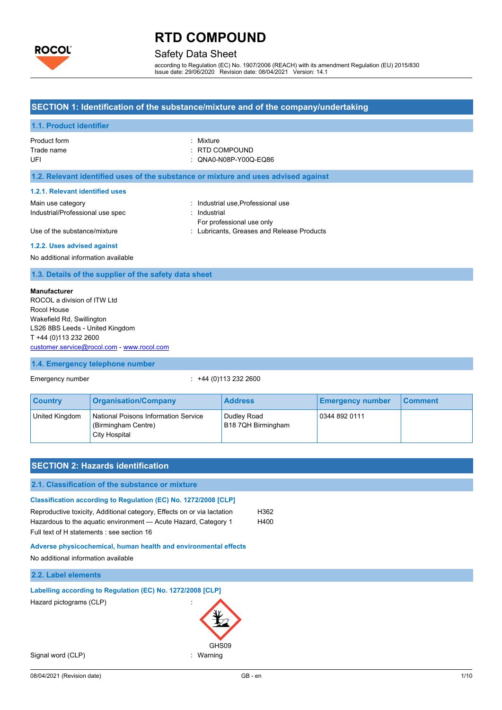

## Safety Data Sheet

according to Regulation (EC) No. 1907/2006 (REACH) with its amendment Regulation (EU) 2015/830 Issue date: 29/06/2020 Revision date: 08/04/2021 Version: 14.1

### **SECTION 1: Identification of the substance/mixture and of the company/undertaking**

#### **1.1. Product identifier**

| Product form | : Mixture                 |
|--------------|---------------------------|
| Trade name   | $\therefore$ RTD COMPOUND |
| UFI          | : QNA0-N08P-Y00Q-EQ86     |

#### **1.2. Relevant identified uses of the substance or mixture and uses advised against**

#### **1.2.1. Relevant identified uses**

| Main use category                | : Industrial use Professional use          |
|----------------------------------|--------------------------------------------|
| Industrial/Professional use spec | : Industrial                               |
|                                  | For professional use only                  |
| Use of the substance/mixture     | : Lubricants, Greases and Release Products |

#### **1.2.2. Uses advised against**

No additional information available

#### **1.3. Details of the supplier of the safety data sheet**

### **Manufacturer**

ROCOL a division of ITW Ltd Rocol House Wakefield Rd, Swillington LS26 8BS Leeds - United Kingdom T +44 (0)113 232 2600 [customer.service@rocol.com](mailto:customer.service@rocol.com) - [www.rocol.com](http://www.rocol.com/)

### **1.4. Emergency telephone number**

Emergency number : +44 (0)113 232 2600

| <b>Country</b> | <b>Organisation/Company</b>                                                  | <b>Address</b>                    | <b>Emergency number</b> | <b>Comment</b> |
|----------------|------------------------------------------------------------------------------|-----------------------------------|-------------------------|----------------|
| United Kingdom | National Poisons Information Service<br>(Birmingham Centre)<br>City Hospital | Dudlev Road<br>B18 7QH Birmingham | 0344 892 0111           |                |

| <b>SECTION 2: Hazards identification</b>                                                                                                                                                                                                                    |              |      |
|-------------------------------------------------------------------------------------------------------------------------------------------------------------------------------------------------------------------------------------------------------------|--------------|------|
| 2.1. Classification of the substance or mixture                                                                                                                                                                                                             |              |      |
| Classification according to Regulation (EC) No. 1272/2008 [CLP]<br>Reproductive toxicity, Additional category, Effects on or via lactation<br>Hazardous to the aquatic environment - Acute Hazard, Category 1<br>Full text of H statements : see section 16 | H362<br>H400 |      |
| Adverse physicochemical, human health and environmental effects<br>No additional information available                                                                                                                                                      |              |      |
| 2.2. Label elements                                                                                                                                                                                                                                         |              |      |
| Labelling according to Regulation (EC) No. 1272/2008 [CLP]                                                                                                                                                                                                  |              |      |
| Hazard pictograms (CLP)<br>GHS09                                                                                                                                                                                                                            |              |      |
| Signal word (CLP)<br>Warning<br>÷                                                                                                                                                                                                                           |              |      |
| 08/04/2021 (Revision date)                                                                                                                                                                                                                                  | GB-en        | 1/10 |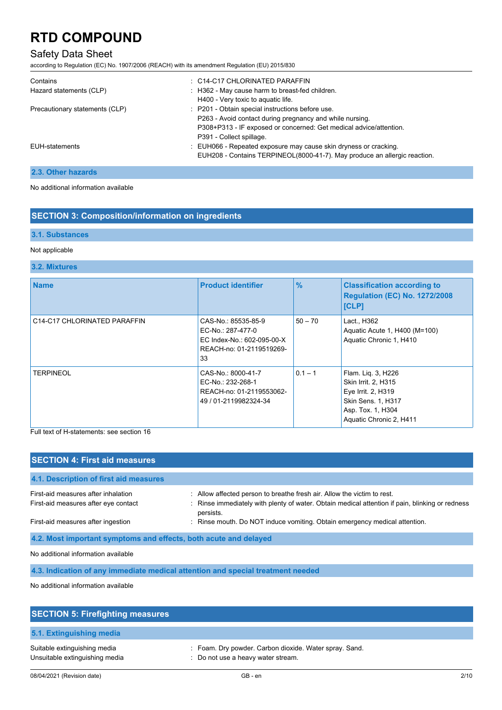## Safety Data Sheet

according to Regulation (EC) No. 1907/2006 (REACH) with its amendment Regulation (EU) 2015/830

| Contains<br>Hazard statements (CLP) | $\therefore$ C14-C17 CHLORINATED PARAFFIN<br>: H362 - May cause harm to breast-fed children.<br>H400 - Very toxic to aquatic life.                                                                             |
|-------------------------------------|----------------------------------------------------------------------------------------------------------------------------------------------------------------------------------------------------------------|
| Precautionary statements (CLP)      | : P201 - Obtain special instructions before use.<br>P263 - Avoid contact during pregnancy and while nursing.<br>P308+P313 - IF exposed or concerned: Get medical advice/attention.<br>P391 - Collect spillage. |
| <b>EUH-statements</b>               | : EUH066 - Repeated exposure may cause skin dryness or cracking.<br>EUH208 - Contains TERPINEOL(8000-41-7). May produce an allergic reaction.                                                                  |

### **2.3. Other hazards**

No additional information available

## **SECTION 3: Composition/information on ingredients**

### **3.1. Substances**

### Not applicable

### **3.2. Mixtures**

| <b>Name</b>                  | <b>Product identifier</b>                                                                                | $\frac{9}{6}$ | <b>Classification according to</b><br><b>Regulation (EC) No. 1272/2008</b><br><b>[CLP]</b>                                                   |
|------------------------------|----------------------------------------------------------------------------------------------------------|---------------|----------------------------------------------------------------------------------------------------------------------------------------------|
| C14-C17 CHLORINATED PARAFFIN | CAS-No.: 85535-85-9<br>EC-No.: 287-477-0<br>EC Index-No.: 602-095-00-X<br>REACH-no: 01-2119519269-<br>33 | $50 - 70$     | Lact., H362<br>Aquatic Acute 1, H400 (M=100)<br>Aquatic Chronic 1, H410                                                                      |
| <b>TERPINEOL</b>             | CAS-No.: 8000-41-7<br>EC-No.: 232-268-1<br>REACH-no: 01-2119553062-<br>49 / 01-2119982324-34             | $0.1 - 1$     | Flam. Liq. 3, H226<br>Skin Irrit. 2, H315<br>Eye Irrit. 2, H319<br><b>Skin Sens. 1, H317</b><br>Asp. Tox. 1, H304<br>Aquatic Chronic 2, H411 |

Full text of H-statements: see section 16

| <b>SECTION 4: First aid measures</b>                                            |                                                                                                                                                                                         |
|---------------------------------------------------------------------------------|-----------------------------------------------------------------------------------------------------------------------------------------------------------------------------------------|
| 4.1. Description of first aid measures                                          |                                                                                                                                                                                         |
| First-aid measures after inhalation<br>First-aid measures after eye contact     | : Allow affected person to breathe fresh air. Allow the victim to rest.<br>: Rinse immediately with plenty of water. Obtain medical attention if pain, blinking or redness<br>persists. |
| First-aid measures after ingestion                                              | : Rinse mouth. Do NOT induce vomiting. Obtain emergency medical attention.                                                                                                              |
| 4.2. Most important symptoms and effects, both acute and delayed                |                                                                                                                                                                                         |
| No additional information available                                             |                                                                                                                                                                                         |
| 4.3. Indication of any immediate medical attention and special treatment needed |                                                                                                                                                                                         |

No additional information available

| <b>SECTION 5: Firefighting measures</b>                        |                                                                                              |
|----------------------------------------------------------------|----------------------------------------------------------------------------------------------|
| 5.1. Extinguishing media                                       |                                                                                              |
| Suitable extinguishing media<br>Unsuitable extinguishing media | : Foam. Dry powder. Carbon dioxide. Water spray. Sand.<br>: Do not use a heavy water stream. |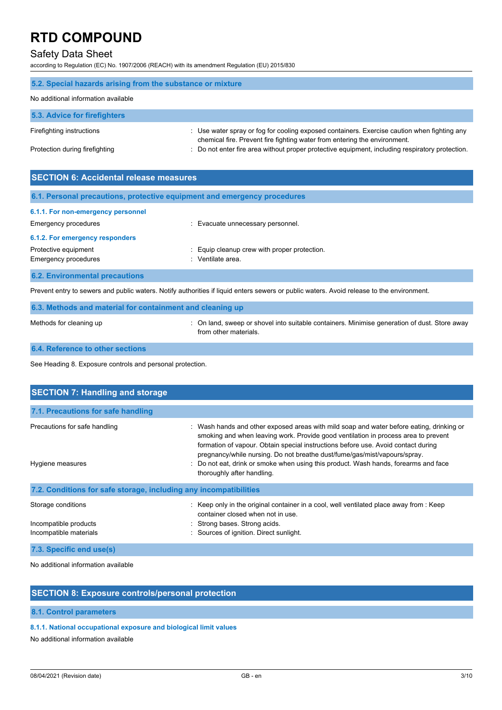## Safety Data Sheet

according to Regulation (EC) No. 1907/2006 (REACH) with its amendment Regulation (EU) 2015/830

| 5.2. Special hazards arising from the substance or mixture |                                                                                                                                                                          |
|------------------------------------------------------------|--------------------------------------------------------------------------------------------------------------------------------------------------------------------------|
| No additional information available                        |                                                                                                                                                                          |
| 5.3. Advice for firefighters                               |                                                                                                                                                                          |
| Firefighting instructions                                  | : Use water spray or fog for cooling exposed containers. Exercise caution when fighting any<br>chemical fire. Prevent fire fighting water from entering the environment. |
| Protection during firefighting                             | : Do not enter fire area without proper protective equipment, including respiratory protection.                                                                          |

| <b>SECTION 6: Accidental release measures</b>                                                                                             |                                              |  |  |
|-------------------------------------------------------------------------------------------------------------------------------------------|----------------------------------------------|--|--|
| 6.1. Personal precautions, protective equipment and emergency procedures                                                                  |                                              |  |  |
| 6.1.1. For non-emergency personnel                                                                                                        |                                              |  |  |
| Emergency procedures                                                                                                                      | : Evacuate unnecessary personnel.            |  |  |
| 6.1.2. For emergency responders                                                                                                           |                                              |  |  |
| Protective equipment                                                                                                                      | : Equip cleanup crew with proper protection. |  |  |
| Emergency procedures                                                                                                                      | Ventilate area.<br>٠.                        |  |  |
| <b>6.2. Environmental precautions</b>                                                                                                     |                                              |  |  |
| Prevent entry to sewers and public waters. Notify authorities if liquid enters sewers or public waters. Avoid release to the environment. |                                              |  |  |

### **6.3. Methods and material for containment and cleaning up**

Methods for cleaning up **intercontatal containers** or shovel into suitable containers. Minimise generation of dust. Store away from other materials.

#### **6.4. Reference to other sections**

See Heading 8. Exposure controls and personal protection.

| <b>SECTION 7: Handling and storage</b>                            |                                                                                                                                                                                                                                                                                                                                                                                                                                                                       |
|-------------------------------------------------------------------|-----------------------------------------------------------------------------------------------------------------------------------------------------------------------------------------------------------------------------------------------------------------------------------------------------------------------------------------------------------------------------------------------------------------------------------------------------------------------|
| 7.1. Precautions for safe handling                                |                                                                                                                                                                                                                                                                                                                                                                                                                                                                       |
| Precautions for safe handling<br>Hygiene measures                 | : Wash hands and other exposed areas with mild soap and water before eating, drinking or<br>smoking and when leaving work. Provide good ventilation in process area to prevent<br>formation of vapour. Obtain special instructions before use. Avoid contact during<br>pregnancy/while nursing. Do not breathe dust/fume/gas/mist/vapours/spray.<br>: Do not eat, drink or smoke when using this product. Wash hands, forearms and face<br>thoroughly after handling. |
| 7.2. Conditions for safe storage, including any incompatibilities |                                                                                                                                                                                                                                                                                                                                                                                                                                                                       |
| Storage conditions<br>Incompatible products                       | : Keep only in the original container in a cool, well ventilated place away from : Keep<br>container closed when not in use.<br>Strong bases. Strong acids                                                                                                                                                                                                                                                                                                            |
| Incompatible materials                                            | : Sources of ignition. Direct sunlight.                                                                                                                                                                                                                                                                                                                                                                                                                               |
| 7.3. Specific end use(s)                                          |                                                                                                                                                                                                                                                                                                                                                                                                                                                                       |

No additional information available

### **SECTION 8: Exposure controls/personal protection**

#### **8.1. Control parameters**

#### **8.1.1. National occupational exposure and biological limit values**

No additional information available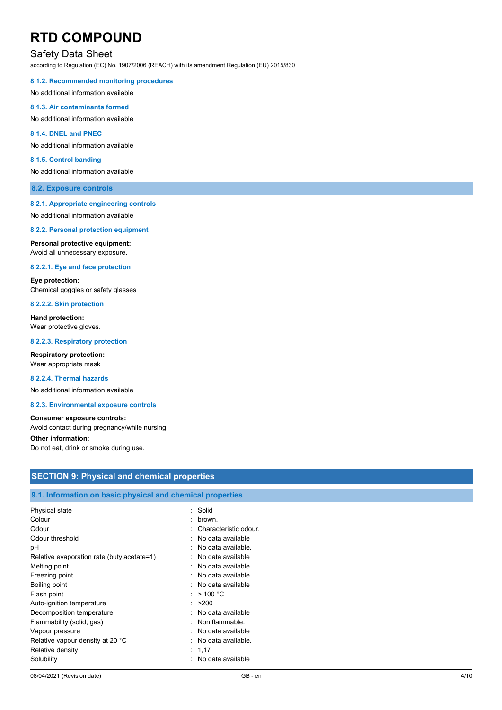### Safety Data Sheet

according to Regulation (EC) No. 1907/2006 (REACH) with its amendment Regulation (EU) 2015/830

#### **8.1.2. Recommended monitoring procedures**

No additional information available

#### **8.1.3. Air contaminants formed**

No additional information available

#### **8.1.4. DNEL and PNEC**

No additional information available

#### **8.1.5. Control banding**

No additional information available

#### **8.2. Exposure controls**

#### **8.2.1. Appropriate engineering controls**

No additional information available

#### **8.2.2. Personal protection equipment**

**Personal protective equipment:** Avoid all unnecessary exposure.

#### **8.2.2.1. Eye and face protection**

**Eye protection:** Chemical goggles or safety glasses

### **8.2.2.2. Skin protection**

**Hand protection:** Wear protective gloves.

#### **8.2.2.3. Respiratory protection**

**Respiratory protection:** Wear appropriate mask

#### **8.2.2.4. Thermal hazards**

No additional information available

#### **8.2.3. Environmental exposure controls**

#### **Consumer exposure controls:**

Avoid contact during pregnancy/while nursing.

#### **Other information:**

Do not eat, drink or smoke during use.

| SECTION 9: Physical and chemical properties<br>9.1. Information on basic physical and chemical properties |  |  |
|-----------------------------------------------------------------------------------------------------------|--|--|
|                                                                                                           |  |  |
| Characteristic odour.<br>: No data available                                                              |  |  |
| : No data available.<br>: No data available                                                               |  |  |
| : No data available.<br>: No data available                                                               |  |  |
| : No data available<br>: $> 100 °C$                                                                       |  |  |
| : >200<br>: No data available<br>: Non flammable.                                                         |  |  |
| : No data available<br>No data available.                                                                 |  |  |
| : 1,17<br>: No data available                                                                             |  |  |
|                                                                                                           |  |  |

### **SECTION 9: Physical and chemical properties**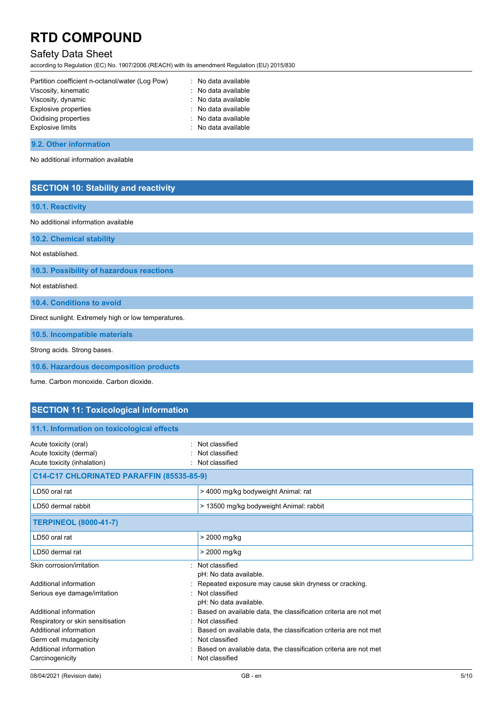## Safety Data Sheet

according to Regulation (EC) No. 1907/2006 (REACH) with its amendment Regulation (EU) 2015/830

| Partition coefficient n-octanol/water (Log Pow) | : No data available |
|-------------------------------------------------|---------------------|
| Viscosity, kinematic                            | : No data available |
| Viscosity, dynamic                              | : No data available |
| Explosive properties                            | : No data available |
| Oxidising properties                            | : No data available |
| <b>Explosive limits</b>                         | : No data available |
|                                                 |                     |

#### **9.2. Other information**

No additional information available

### **SECTION 10: Stability and reactivity**

|  | <b>10.1. Reactivity</b> |  |
|--|-------------------------|--|
|  |                         |  |

No additional information available

**10.2. Chemical stability**

Not established.

**10.3. Possibility of hazardous reactions**

Not established.

**10.4. Conditions to avoid**

Direct sunlight. Extremely high or low temperatures.

**10.5. Incompatible materials**

Strong acids. Strong bases.

**10.6. Hazardous decomposition products**

fume. Carbon monoxide. Carbon dioxide.

### **SECTION 11: Toxicological information**

| 11.1. Information on toxicological effects                                      |                                                                  |
|---------------------------------------------------------------------------------|------------------------------------------------------------------|
| Acute toxicity (oral)<br>Acute toxicity (dermal)<br>Acute toxicity (inhalation) | : Not classified<br>Not classified<br>Not classified             |
| C14-C17 CHLORINATED PARAFFIN (85535-85-9)                                       |                                                                  |
| LD50 oral rat                                                                   | > 4000 mg/kg bodyweight Animal: rat                              |
| LD50 dermal rabbit                                                              | > 13500 mg/kg bodyweight Animal: rabbit                          |
| <b>TERPINEOL (8000-41-7)</b>                                                    |                                                                  |
| LD50 oral rat                                                                   | > 2000 mg/kg                                                     |
| LD50 dermal rat                                                                 | > 2000 mg/kg                                                     |
| Skin corrosion/irritation                                                       | : Not classified<br>pH: No data available.                       |
| Additional information                                                          | Repeated exposure may cause skin dryness or cracking.            |
| Serious eye damage/irritation                                                   | Not classified<br>pH: No data available.                         |
| Additional information                                                          | Based on available data, the classification criteria are not met |
| Respiratory or skin sensitisation                                               | : Not classified                                                 |
| Additional information                                                          | Based on available data, the classification criteria are not met |
| Germ cell mutagenicity                                                          | : Not classified                                                 |
| Additional information                                                          | Based on available data, the classification criteria are not met |
| Carcinogenicity                                                                 | Not classified                                                   |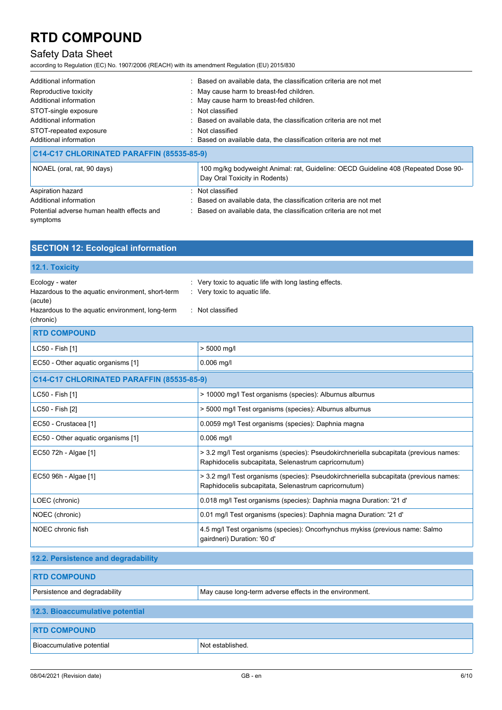## Safety Data Sheet

according to Regulation (EC) No. 1907/2006 (REACH) with its amendment Regulation (EU) 2015/830

| Additional information<br>Reproductive toxicity<br>Additional information<br>STOT-single exposure<br>Additional information<br>STOT-repeated exposure<br>Additional information | : Based on available data, the classification criteria are not met<br>: May cause harm to breast-fed children.<br>: May cause harm to breast-fed children.<br>: Not classified<br>: Based on available data, the classification criteria are not met<br>Not classified<br>: Based on available data, the classification criteria are not met |
|---------------------------------------------------------------------------------------------------------------------------------------------------------------------------------|----------------------------------------------------------------------------------------------------------------------------------------------------------------------------------------------------------------------------------------------------------------------------------------------------------------------------------------------|
| C14-C17 CHLORINATED PARAFFIN (85535-85-9)                                                                                                                                       |                                                                                                                                                                                                                                                                                                                                              |
| NOAEL (oral, rat, 90 days)                                                                                                                                                      | 100 mg/kg bodyweight Animal: rat, Guideline: OECD Guideline 408 (Repeated Dose 90-<br>Day Oral Toxicity in Rodents)                                                                                                                                                                                                                          |
| Aspiration hazard<br>Additional information<br>Potential adverse human health effects and<br>symptoms                                                                           | : Not classified<br>: Based on available data, the classification criteria are not met<br>: Based on available data, the classification criteria are not met                                                                                                                                                                                 |

| <b>SECTION 12: Ecological information</b>                                                                                                      |                                                                                                                                               |
|------------------------------------------------------------------------------------------------------------------------------------------------|-----------------------------------------------------------------------------------------------------------------------------------------------|
| 12.1. Toxicity                                                                                                                                 |                                                                                                                                               |
| Ecology - water<br>Hazardous to the aquatic environment, short-term<br>(acute)<br>Hazardous to the aquatic environment, long-term<br>(chronic) | : Very toxic to aquatic life with long lasting effects.<br>: Very toxic to aquatic life.<br>: Not classified                                  |
| <b>RTD COMPOUND</b>                                                                                                                            |                                                                                                                                               |
| LC50 - Fish [1]                                                                                                                                | > 5000 mg/l                                                                                                                                   |
| EC50 - Other aquatic organisms [1]                                                                                                             | $0.006$ mg/l                                                                                                                                  |
| C14-C17 CHLORINATED PARAFFIN (85535-85-9)                                                                                                      |                                                                                                                                               |
| LC50 - Fish [1]                                                                                                                                | > 10000 mg/l Test organisms (species): Alburnus alburnus                                                                                      |
| LC50 - Fish [2]                                                                                                                                | > 5000 mg/l Test organisms (species): Alburnus alburnus                                                                                       |
| EC50 - Crustacea [1]                                                                                                                           | 0.0059 mg/l Test organisms (species): Daphnia magna                                                                                           |
| EC50 - Other aquatic organisms [1]                                                                                                             | $0.006$ mg/l                                                                                                                                  |
| EC50 72h - Algae [1]                                                                                                                           | > 3.2 mg/l Test organisms (species): Pseudokirchneriella subcapitata (previous names:<br>Raphidocelis subcapitata, Selenastrum capricornutum) |
| EC50 96h - Algae [1]                                                                                                                           | > 3.2 mg/l Test organisms (species): Pseudokirchneriella subcapitata (previous names:<br>Raphidocelis subcapitata, Selenastrum capricornutum) |
| LOEC (chronic)                                                                                                                                 | 0.018 mg/l Test organisms (species): Daphnia magna Duration: '21 d'                                                                           |
| NOEC (chronic)                                                                                                                                 | 0.01 mg/l Test organisms (species): Daphnia magna Duration: '21 d'                                                                            |
| NOEC chronic fish                                                                                                                              | 4.5 mg/l Test organisms (species): Oncorhynchus mykiss (previous name: Salmo<br>gairdneri) Duration: '60 d'                                   |
| 12.2. Persistence and degradability                                                                                                            |                                                                                                                                               |
| <b>RTD COMPOUND</b>                                                                                                                            |                                                                                                                                               |
| Persistence and degradability                                                                                                                  | May cause long-term adverse effects in the environment.                                                                                       |
| 12.3. Bioaccumulative potential                                                                                                                |                                                                                                                                               |
| <b>RTD COMPOUND</b>                                                                                                                            |                                                                                                                                               |

Bioaccumulative potential Not established.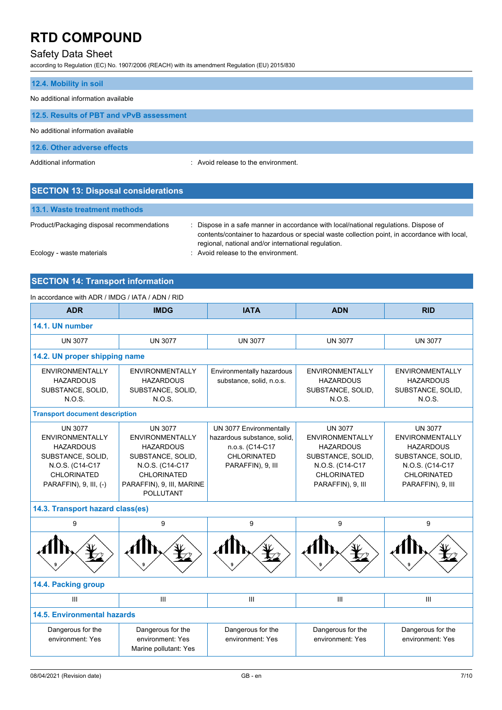## Safety Data Sheet

according to Regulation (EC) No. 1907/2006 (REACH) with its amendment Regulation (EU) 2015/830

| 12.4. Mobility in soil                   |                                     |
|------------------------------------------|-------------------------------------|
| No additional information available      |                                     |
| 12.5. Results of PBT and vPvB assessment |                                     |
| No additional information available      |                                     |
| 12.6. Other adverse effects              |                                     |
| Additional information                   | : Avoid release to the environment. |

| <b>SECTION 13: Disposal considerations</b> |                                                                                                                                                                                                                                             |
|--------------------------------------------|---------------------------------------------------------------------------------------------------------------------------------------------------------------------------------------------------------------------------------------------|
| 13.1. Waste treatment methods              |                                                                                                                                                                                                                                             |
| Product/Packaging disposal recommendations | : Dispose in a safe manner in accordance with local/national regulations. Dispose of<br>contents/container to hazardous or special waste collection point, in accordance with local,<br>regional, national and/or international regulation. |

Ecology - waste materials **Example 20** and  $\overline{a}$  Avoid release to the environment.

## **SECTION 14: Transport information** In accordance with ADR / IMDG / IATA / ADN / RID

| <b>ADR</b>                                                                                                                                           | <b>IMDG</b>                                                                                                                                                                 | <b>IATA</b>                                                                                                   | <b>ADN</b>                                                                                                                                      | <b>RID</b>                                                                                                                                      |  |
|------------------------------------------------------------------------------------------------------------------------------------------------------|-----------------------------------------------------------------------------------------------------------------------------------------------------------------------------|---------------------------------------------------------------------------------------------------------------|-------------------------------------------------------------------------------------------------------------------------------------------------|-------------------------------------------------------------------------------------------------------------------------------------------------|--|
| 14.1. UN number                                                                                                                                      |                                                                                                                                                                             |                                                                                                               |                                                                                                                                                 |                                                                                                                                                 |  |
| <b>UN 3077</b>                                                                                                                                       | <b>UN 3077</b>                                                                                                                                                              | <b>UN 3077</b>                                                                                                | <b>UN 3077</b>                                                                                                                                  | <b>UN 3077</b>                                                                                                                                  |  |
| 14.2. UN proper shipping name                                                                                                                        |                                                                                                                                                                             |                                                                                                               |                                                                                                                                                 |                                                                                                                                                 |  |
| <b>ENVIRONMENTALLY</b><br><b>HAZARDOUS</b><br>SUBSTANCE, SOLID,<br>N.O.S.                                                                            | <b>ENVIRONMENTALLY</b><br><b>HAZARDOUS</b><br>SUBSTANCE, SOLID,<br><b>N.O.S.</b>                                                                                            | Environmentally hazardous<br>substance, solid, n.o.s.                                                         | <b>ENVIRONMENTALLY</b><br><b>HAZARDOUS</b><br>SUBSTANCE, SOLID,<br>N.O.S.                                                                       | <b>ENVIRONMENTALLY</b><br><b>HAZARDOUS</b><br>SUBSTANCE, SOLID,<br><b>N.O.S.</b>                                                                |  |
| <b>Transport document description</b>                                                                                                                |                                                                                                                                                                             |                                                                                                               |                                                                                                                                                 |                                                                                                                                                 |  |
| <b>UN 3077</b><br><b>ENVIRONMENTALLY</b><br><b>HAZARDOUS</b><br>SUBSTANCE, SOLID,<br>N.O.S. (C14-C17<br><b>CHLORINATED</b><br>PARAFFIN), 9, III, (-) | <b>UN 3077</b><br><b>ENVIRONMENTALLY</b><br><b>HAZARDOUS</b><br>SUBSTANCE, SOLID,<br>N.O.S. (C14-C17<br><b>CHLORINATED</b><br>PARAFFIN), 9, III, MARINE<br><b>POLLUTANT</b> | UN 3077 Environmentally<br>hazardous substance, solid,<br>n.o.s. (C14-C17<br>CHLORINATED<br>PARAFFIN), 9, III | <b>UN 3077</b><br><b>ENVIRONMENTALLY</b><br><b>HAZARDOUS</b><br>SUBSTANCE, SOLID,<br>N.O.S. (C14-C17<br><b>CHLORINATED</b><br>PARAFFIN), 9, III | <b>UN 3077</b><br><b>ENVIRONMENTALLY</b><br><b>HAZARDOUS</b><br>SUBSTANCE, SOLID,<br>N.O.S. (C14-C17<br><b>CHLORINATED</b><br>PARAFFIN), 9, III |  |
| 14.3. Transport hazard class(es)                                                                                                                     |                                                                                                                                                                             |                                                                                                               |                                                                                                                                                 |                                                                                                                                                 |  |
| 9                                                                                                                                                    | 9                                                                                                                                                                           | 9                                                                                                             | 9                                                                                                                                               | 9                                                                                                                                               |  |
|                                                                                                                                                      |                                                                                                                                                                             |                                                                                                               |                                                                                                                                                 |                                                                                                                                                 |  |
| 14.4. Packing group                                                                                                                                  |                                                                                                                                                                             |                                                                                                               |                                                                                                                                                 |                                                                                                                                                 |  |
| $\mathbf{III}$                                                                                                                                       | III                                                                                                                                                                         | III                                                                                                           | III                                                                                                                                             | Ш                                                                                                                                               |  |
| <b>14.5. Environmental hazards</b>                                                                                                                   |                                                                                                                                                                             |                                                                                                               |                                                                                                                                                 |                                                                                                                                                 |  |

| Dangerous for the<br>environment: Yes | Dangerous for the<br>environment: Yes<br>Marine pollutant: Yes | Dangerous for the<br>environment: Yes | Dangerous for the<br>environment: Yes | Dangerous for the<br>environment: Yes |
|---------------------------------------|----------------------------------------------------------------|---------------------------------------|---------------------------------------|---------------------------------------|
|                                       |                                                                |                                       |                                       |                                       |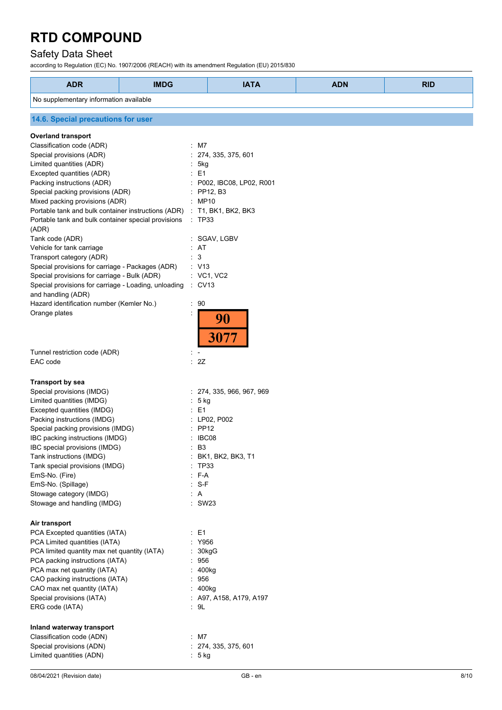## Safety Data Sheet

according to Regulation (EC) No. 1907/2006 (REACH) with its amendment Regulation (EU) 2015/830

| <b>ADR</b>                                           | <b>IMDG</b> | <b>IATA</b>               | <b>ADN</b> | <b>RID</b> |
|------------------------------------------------------|-------------|---------------------------|------------|------------|
| No supplementary information available               |             |                           |            |            |
| 14.6. Special precautions for user                   |             |                           |            |            |
| <b>Overland transport</b>                            |             |                           |            |            |
| Classification code (ADR)                            |             | $:$ M7                    |            |            |
| Special provisions (ADR)                             |             | 274, 335, 375, 601        |            |            |
| Limited quantities (ADR)                             |             | 5kg                       |            |            |
| Excepted quantities (ADR)                            |             | E <sub>1</sub>            |            |            |
| Packing instructions (ADR)                           |             | P002, IBC08, LP02, R001   |            |            |
| Special packing provisions (ADR)                     |             | : PP12, B3                |            |            |
| Mixed packing provisions (ADR)                       |             | MP10                      |            |            |
| Portable tank and bulk container instructions (ADR)  |             | T1, BK1, BK2, BK3         |            |            |
| Portable tank and bulk container special provisions  |             | $\therefore$ TP33         |            |            |
| (ADR)                                                |             |                           |            |            |
| Tank code (ADR)                                      |             | SGAV, LGBV                |            |            |
| Vehicle for tank carriage                            |             | : AT                      |            |            |
| Transport category (ADR)                             |             | 3                         |            |            |
| Special provisions for carriage - Packages (ADR)     |             | : V13                     |            |            |
| Special provisions for carriage - Bulk (ADR)         |             | $:$ VC1, VC2              |            |            |
| Special provisions for carriage - Loading, unloading |             | $\therefore$ CV13         |            |            |
| and handling (ADR)                                   |             |                           |            |            |
| Hazard identification number (Kemler No.)            | ÷           | 90                        |            |            |
| Orange plates                                        |             |                           |            |            |
|                                                      |             | 90<br>3077                |            |            |
| Tunnel restriction code (ADR)                        |             |                           |            |            |
| EAC code                                             |             | : 2Z                      |            |            |
| <b>Transport by sea</b>                              |             |                           |            |            |
| Special provisions (IMDG)                            |             | : 274, 335, 966, 967, 969 |            |            |
| Limited quantities (IMDG)                            |             | 5 kg                      |            |            |
| Excepted quantities (IMDG)                           | ÷           | E1                        |            |            |
| Packing instructions (IMDG)                          |             | LP02, P002                |            |            |
| Special packing provisions (IMDG)                    |             | PP12                      |            |            |
| IBC packing instructions (IMDG)                      |             | IBC08                     |            |            |
| IBC special provisions (IMDG)                        |             | B3                        |            |            |
| Tank instructions (IMDG)                             |             | BK1, BK2, BK3, T1         |            |            |
| Tank special provisions (IMDG)                       |             | <b>TP33</b>               |            |            |
| EmS-No. (Fire)                                       |             | : F-A                     |            |            |
| EmS-No. (Spillage)                                   |             | S-F                       |            |            |
| Stowage category (IMDG)                              |             | $\cdot$ A                 |            |            |
| Stowage and handling (IMDG)                          |             | : SW23                    |            |            |
| Air transport                                        |             |                           |            |            |
| PCA Excepted quantities (IATA)                       |             | $\therefore$ E1           |            |            |
| PCA Limited quantities (IATA)                        |             | : Y956                    |            |            |
| PCA limited quantity max net quantity (IATA)         |             | 30kgG                     |            |            |
| PCA packing instructions (IATA)                      |             | : 956                     |            |            |
| PCA max net quantity (IATA)                          |             | 400kg                     |            |            |
| CAO packing instructions (IATA)                      |             | : 956                     |            |            |
| CAO max net quantity (IATA)                          |             | : 400kg                   |            |            |
| Special provisions (IATA)                            |             | $:$ A97, A158, A179, A197 |            |            |
| ERG code (IATA)                                      |             | : 9L                      |            |            |
| Inland waterway transport                            |             |                           |            |            |
| Classification code (ADN)                            |             | $:$ M7                    |            |            |
| Special provisions (ADN)                             |             | : 274, 335, 375, 601      |            |            |
| Limited quantities (ADN)                             |             | : 5 kg                    |            |            |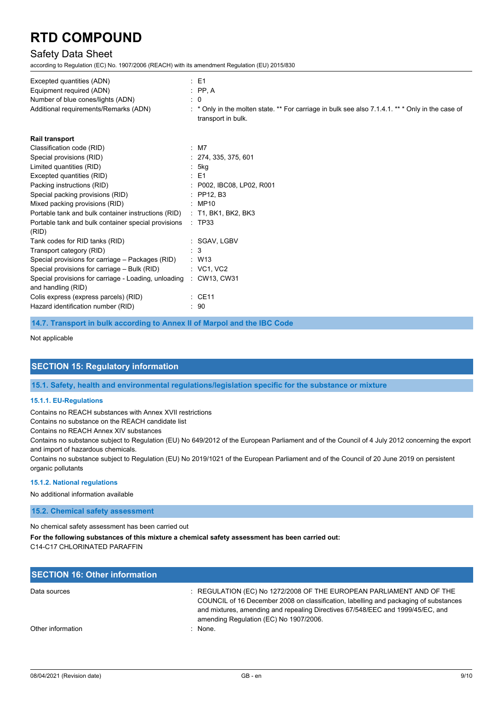## Safety Data Sheet

according to Regulation (EC) No. 1907/2006 (REACH) with its amendment Regulation (EU) 2015/830

| Excepted quantities (ADN)                                                  | $\therefore$ E1                                                                                                      |
|----------------------------------------------------------------------------|----------------------------------------------------------------------------------------------------------------------|
| Equipment required (ADN)                                                   | $:$ PP, A                                                                                                            |
| Number of blue cones/lights (ADN)                                          | $\therefore$ 0                                                                                                       |
| Additional requirements/Remarks (ADN)                                      | * Only in the molten state. ** For carriage in bulk see also 7.1.4.1. ** * Only in the case of<br>transport in bulk. |
| <b>Rail transport</b>                                                      |                                                                                                                      |
| Classification code (RID)                                                  | $:$ M7                                                                                                               |
| Special provisions (RID)                                                   | : 274, 335, 375, 601                                                                                                 |
| Limited quantities (RID)                                                   | 5kg                                                                                                                  |
| Excepted quantities (RID)                                                  | $\therefore$ E1                                                                                                      |
| Packing instructions (RID)                                                 | : P002, IBC08, LP02, R001                                                                                            |
| Special packing provisions (RID)                                           | $:$ PP12. B3                                                                                                         |
| Mixed packing provisions (RID)                                             | : MP10                                                                                                               |
| Portable tank and bulk container instructions (RID)                        | $:$ T1, BK1, BK2, BK3                                                                                                |
| Portable tank and bulk container special provisions<br>(RID)               | : TP33                                                                                                               |
| Tank codes for RID tanks (RID)                                             | : SGAV, LGBV                                                                                                         |
| Transport category (RID)                                                   | $\therefore$ 3                                                                                                       |
| Special provisions for carriage - Packages (RID)                           | $:$ W13                                                                                                              |
| Special provisions for carriage - Bulk (RID)                               | $\therefore$ VC1, VC2                                                                                                |
| Special provisions for carriage - Loading, unloading<br>and handling (RID) | : CW13, CW31                                                                                                         |
| Colis express (express parcels) (RID)                                      | : CE11                                                                                                               |
| Hazard identification number (RID)                                         | : 90                                                                                                                 |

**14.7. Transport in bulk according to Annex II of Marpol and the IBC Code**

Not applicable

### **SECTION 15: Regulatory information**

**15.1. Safety, health and environmental regulations/legislation specific for the substance or mixture**

#### **15.1.1. EU-Regulations**

Contains no REACH substances with Annex XVII restrictions

Contains no substance on the REACH candidate list

Contains no REACH Annex XIV substances

Contains no substance subject to Regulation (EU) No 649/2012 of the European Parliament and of the Council of 4 July 2012 concerning the export and import of hazardous chemicals.

Contains no substance subject to Regulation (EU) No 2019/1021 of the European Parliament and of the Council of 20 June 2019 on persistent organic pollutants

#### **15.1.2. National regulations**

No additional information available

**15.2. Chemical safety assessment**

No chemical safety assessment has been carried out

**For the following substances of this mixture a chemical safety assessment has been carried out:** C14-C17 CHLORINATED PARAFFIN

| <b>SECTION 16: Other information</b> |                                                                                                                                                                                                                                                                                          |
|--------------------------------------|------------------------------------------------------------------------------------------------------------------------------------------------------------------------------------------------------------------------------------------------------------------------------------------|
| Data sources                         | : REGULATION (EC) No 1272/2008 OF THE EUROPEAN PARLIAMENT AND OF THE<br>COUNCIL of 16 December 2008 on classification, labelling and packaging of substances<br>and mixtures, amending and repealing Directives 67/548/EEC and 1999/45/EC, and<br>amending Regulation (EC) No 1907/2006. |
| Other information                    | · None                                                                                                                                                                                                                                                                                   |